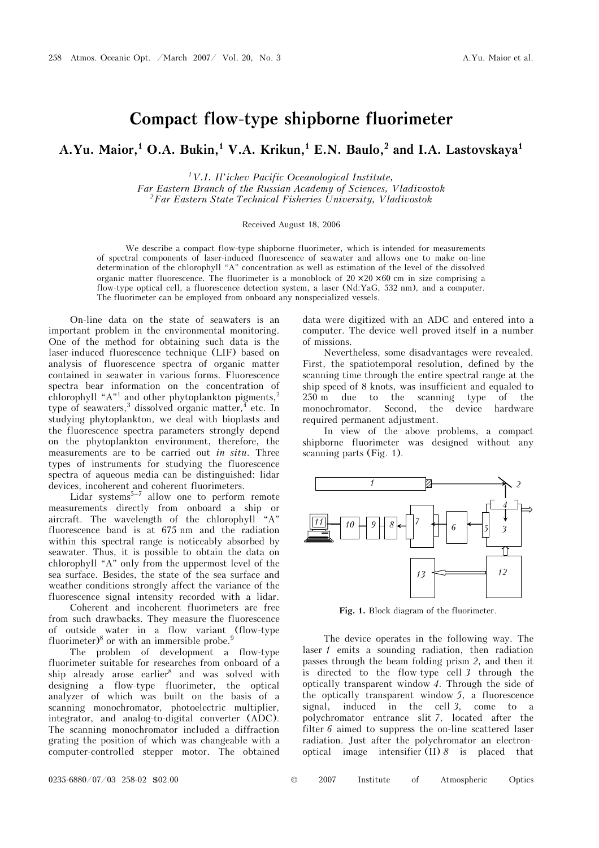## **Compact flow-type shipborne fluorimeter**

A.Yu. Maior,<sup>1</sup> O.A. Bukin,<sup>1</sup> V.A. Krikun,<sup>1</sup> E.N. Baulo,<sup>2</sup> and I.A. Lastovskaya<sup>1</sup>

*1V.I. Il'ichev Pacific Oceanological Institute, Far Eastern Branch of the Russian Academy of Sciences, Vladivostok 2Far Eastern State Technical Fisheries University, Vladivostok* 

## Received August 18, 2006

We describe a compact flow-type shipborne fluorimeter, which is intended for measurements of spectral components of laser-induced fluorescence of seawater and allows one to make on-line determination of the chlorophyll "A" concentration as well as estimation of the level of the dissolved organic matter fluorescence. The fluorimeter is a monoblock of  $20 \times 20 \times 60$  cm in size comprising a flow-type optical cell, a fluorescence detection system, a laser (Nd:YaG, 532 nm), and a computer. The fluorimeter can be employed from onboard any nonspecialized vessels.

On-line data on the state of seawaters is an important problem in the environmental monitoring. One of the method for obtaining such data is the laser-induced fluorescence technique (LIF) based on analysis of fluorescence spectra of organic matter contained in seawater in various forms. Fluorescence spectra bear information on the concentration of chlorophyll " $A$ "<sup>1</sup> and other phytoplankton pigments,<sup>2</sup> type of seawaters,<sup>3</sup> dissolved organic matter,<sup>4</sup> etc. In studying phytoplankton, we deal with bioplasts and the fluorescence spectra parameters strongly depend on the phytoplankton environment, therefore, the measurements are to be carried out *in situ*. Three types of instruments for studying the fluorescence spectra of aqueous media can be distinguished: lidar devices, incoherent and coherent fluorimeters.

Lidar systems<sup>5–7</sup> allow one to perform remote measurements directly from onboard a ship or aircraft. The wavelength of the chlorophyll "A" fluorescence band is at 675 nm and the radiation within this spectral range is noticeably absorbed by seawater. Thus, it is possible to obtain the data on chlorophyll "A" only from the uppermost level of the sea surface. Besides, the state of the sea surface and weather conditions strongly affect the variance of the fluorescence signal intensity recorded with a lidar.

 Coherent and incoherent fluorimeters are free from such drawbacks. They measure the fluorescence of outside water in a flow variant (flow-type fluorimeter)<sup>8</sup> or with an immersible probe.<sup>9</sup>

The problem of development a flow-type fluorimeter suitable for researches from onboard of a ship already arose earlier<sup>8</sup> and was solved with designing a flow-type fluorimeter, the optical analyzer of which was built on the basis of a scanning monochromator, photoelectric multiplier, integrator, and analog-to-digital converter (ADC). The scanning monochromator included a diffraction grating the position of which was changeable with a computer-controlled stepper motor. The obtained

data were digitized with an ADC and entered into a computer. The device well proved itself in a number of missions.

Nevertheless, some disadvantages were revealed. First, the spatiotemporal resolution, defined by the scanning time through the entire spectral range at the ship speed of 8 knots, was insufficient and equaled to 250 m due to the scanning type of the monochromator. Second, the device hardware required permanent adjustment.

In view of the above problems, a compact shipborne fluorimeter was designed without any scanning parts (Fig. 1).



Fig. 1. Block diagram of the fluorimeter.

The device operates in the following way. The laser *1* emits a sounding radiation, then radiation passes through the beam folding prism *2*, and then it is directed to the flow-type cell *3* through the optically transparent window *4*. Through the side of the optically transparent window *5*, a fluorescence signal, induced in the cell *3*, come to a polychromator entrance slit *7*, located after the filter *6* aimed to suppress the on-line scattered laser radiation. Just after the polychromator an electronoptical image intensifier (II) *8* is placed that